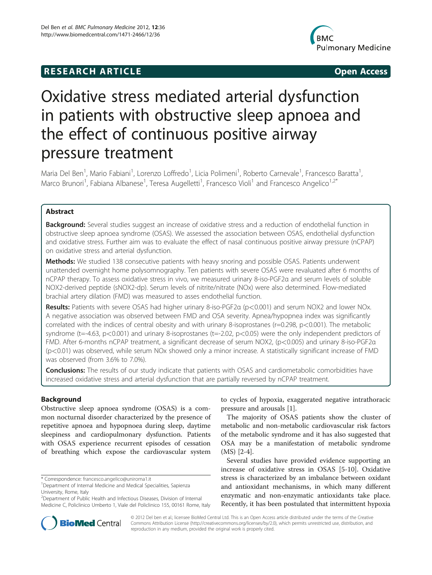# **RESEARCH ARTICLE Example 2014 CONSIDERING CONSIDERING CONSIDERING CONSIDERING CONSIDERING CONSIDERING CONSIDERING CONSIDERING CONSIDERING CONSIDERING CONSIDERING CONSIDERING CONSIDERING CONSIDERING CONSIDERING CONSIDE**



# Oxidative stress mediated arterial dysfunction in patients with obstructive sleep apnoea and the effect of continuous positive airway pressure treatment

Maria Del Ben<sup>1</sup>, Mario Fabiani<sup>1</sup>, Lorenzo Loffredo<sup>1</sup>, Licia Polimeni<sup>1</sup>, Roberto Carnevale<sup>1</sup>, Francesco Baratta<sup>1</sup> , Marco Brunori<sup>1</sup>, Fabiana Albanese<sup>1</sup>, Teresa Augelletti<sup>1</sup>, Francesco Violi<sup>1</sup> and Francesco Angelico<sup>1,2\*</sup>

# Abstract

Background: Several studies suggest an increase of oxidative stress and a reduction of endothelial function in obstructive sleep apnoea syndrome (OSAS). We assessed the association between OSAS, endothelial dysfunction and oxidative stress. Further aim was to evaluate the effect of nasal continuous positive airway pressure (nCPAP) on oxidative stress and arterial dysfunction.

Methods: We studied 138 consecutive patients with heavy snoring and possible OSAS. Patients underwent unattended overnight home polysomnography. Ten patients with severe OSAS were revaluated after 6 months of nCPAP therapy. To assess oxidative stress in vivo, we measured urinary 8-iso-PGF2α and serum levels of soluble NOX2-derived peptide (sNOX2-dp). Serum levels of nitrite/nitrate (NOx) were also determined. Flow-mediated brachial artery dilation (FMD) was measured to asses endothelial function.

Results: Patients with severe OSAS had higher urinary 8-iso-PGF2α (p<0.001) and serum NOX2 and lower NOx. A negative association was observed between FMD and OSA severity. Apnea/hypopnea index was significantly correlated with the indices of central obesity and with urinary 8-isoprostanes (r=0.298, p<0.001). The metabolic syndrome (t=-4.63, p<0.001) and urinary 8-isoprostanes (t=-2.02, p<0.05) were the only independent predictors of FMD. After 6-months nCPAP treatment, a significant decrease of serum NOX2, (p<0.005) and urinary 8-iso-PGF2α (p<0.01) was observed, while serum NOx showed only a minor increase. A statistically significant increase of FMD was observed (from 3.6% to 7.0%).

**Conclusions:** The results of our study indicate that patients with OSAS and cardiometabolic comorbidities have increased oxidative stress and arterial dysfunction that are partially reversed by nCPAP treatment.

# Background

Obstructive sleep apnoea syndrome (OSAS) is a common nocturnal disorder characterized by the presence of repetitive apnoea and hypopnoea during sleep, daytime sleepiness and cardiopulmonary dysfunction. Patients with OSAS experience recurrent episodes of cessation of breathing which expose the cardiovascular system

to cycles of hypoxia, exaggerated negative intrathoracic pressure and arousals [\[1\]](#page-6-0).

The majority of OSAS patients show the cluster of metabolic and non-metabolic cardiovascular risk factors of the metabolic syndrome and it has also suggested that OSA may be a manifestation of metabolic syndrome (MS) [\[2](#page-6-0)-[4\]](#page-6-0).

Several studies have provided evidence supporting an increase of oxidative stress in OSAS [[5-10](#page-6-0)]. Oxidative stress is characterized by an imbalance between oxidant and antioxidant mechanisms, in which many different enzymatic and non-enzymatic antioxidants take place. Recently, it has been postulated that intermittent hypoxia



© 2012 Del ben et al.; licensee BioMed Central Ltd. This is an Open Access article distributed under the terms of the Creative Commons Attribution License [\(http://creativecommons.org/licenses/by/2.0\)](http://creativecommons.org/licenses/by/2.0), which permits unrestricted use, distribution, and reproduction in any medium, provided the original work is properly cited.

<sup>\*</sup> Correspondence: [francesco.angelico@uniroma1.it](mailto:francesco.angelico@uniroma1.it) <sup>1</sup>

<sup>&</sup>lt;sup>1</sup>Department of Internal Medicine and Medical Specialities, Sapienza University, Rome, Italy

<sup>&</sup>lt;sup>2</sup> Department of Public Health and Infectious Diseases, Division of Internal Medicine C, Policlinico Umberto 1, Viale del Policlinico 155, 00161 Rome, Italy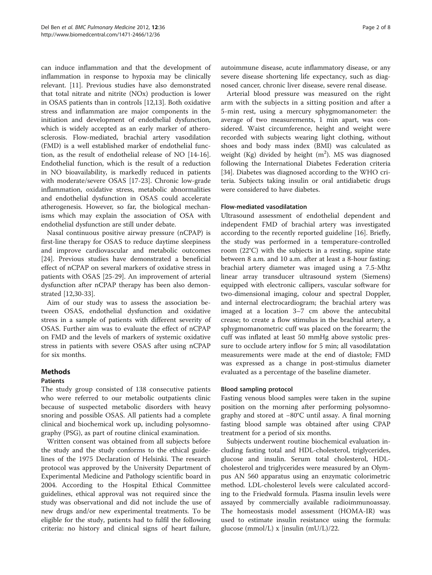can induce inflammation and that the development of inflammation in response to hypoxia may be clinically relevant. [\[11\]](#page-6-0). Previous studies have also demonstrated that total nitrate and nitrite (NOx) production is lower in OSAS patients than in controls [[12,13](#page-6-0)]. Both oxidative stress and inflammation are major components in the initiation and development of endothelial dysfunction, which is widely accepted as an early marker of atherosclerosis. Flow-mediated, brachial artery vasodilation (FMD) is a well established marker of endothelial function, as the result of endothelial release of NO [\[14-16](#page-6-0)]. Endothelial function, which is the result of a reduction in NO bioavailability, is markedly reduced in patients with moderate/severe OSAS [\[17-23](#page-6-0)]. Chronic low-grade inflammation, oxidative stress, metabolic abnormalities and endothelial dysfunction in OSAS could accelerate atherogenesis. However, so far, the biological mechanisms which may explain the association of OSA with endothelial dysfunction are still under debate.

Nasal continuous positive airway pressure (nCPAP) is first-line therapy for OSAS to reduce daytime sleepiness and improve cardiovascular and metabolic outcomes [[24\]](#page-6-0). Previous studies have demonstrated a beneficial effect of nCPAP on several markers of oxidative stress in patients with OSAS [[25-29\]](#page-6-0). An improvement of arterial dysfunction after nCPAP therapy has been also demonstrated [[12](#page-6-0),[30-33\]](#page-6-0).

Aim of our study was to assess the association between OSAS, endothelial dysfunction and oxidative stress in a sample of patients with different severity of OSAS. Further aim was to evaluate the effect of nCPAP on FMD and the levels of markers of systemic oxidative stress in patients with severe OSAS after using nCPAP for six months.

# Methods

# Patients

The study group consisted of 138 consecutive patients who were referred to our metabolic outpatients clinic because of suspected metabolic disorders with heavy snoring and possible OSAS. All patients had a complete clinical and biochemical work up, including polysomnography (PSG), as part of routine clinical examination.

Written consent was obtained from all subjects before the study and the study conforms to the ethical guidelines of the 1975 Declaration of Helsinki. The research protocol was approved by the University Department of Experimental Medicine and Pathology scientific board in 2004. According to the Hospital Ethical Committee guidelines, ethical approval was not required since the study was observational and did not include the use of new drugs and/or new experimental treatments. To be eligible for the study, patients had to fulfil the following criteria: no history and clinical signs of heart failure,

autoimmune disease, acute inflammatory disease, or any severe disease shortening life expectancy, such as diagnosed cancer, chronic liver disease, severe renal disease.

Arterial blood pressure was measured on the right arm with the subjects in a sitting position and after a 5-min rest, using a mercury sphygmomanometer: the average of two measurements, 1 min apart, was considered. Waist circumference, height and weight were recorded with subjects wearing light clothing, without shoes and body mass index (BMI) was calculated as weight (Kg) divided by height  $(m<sup>2</sup>)$ . MS was diagnosed following the International Diabetes Federation criteria [[34\]](#page-6-0). Diabetes was diagnosed according to the WHO criteria. Subjects taking insulin or oral antidiabetic drugs were considered to have diabetes.

#### Flow-mediated vasodilatation

Ultrasound assessment of endothelial dependent and independent FMD of brachial artery was investigated according to the recently reported guideline [[16\]](#page-6-0). Briefly, the study was performed in a temperature-controlled room (22°C) with the subjects in a resting, supine state between 8 a.m. and 10 a.m. after at least a 8-hour fasting; brachial artery diameter was imaged using a 7.5-Mhz linear array transducer ultrasound system (Siemens) equipped with electronic callipers, vascular software for two-dimensional imaging, colour and spectral Doppler, and internal electrocardiogram; the brachial artery was imaged at a location 3–7 cm above the antecubital crease; to create a flow stimulus in the brachial artery, a sphygmomanometric cuff was placed on the forearm; the cuff was inflated at least 50 mmHg above systolic pressure to occlude artery inflow for 5 min; all vasodilatation measurements were made at the end of diastole; FMD was expressed as a change in post-stimulus diameter evaluated as a percentage of the baseline diameter.

#### Blood sampling protocol

Fasting venous blood samples were taken in the supine position on the morning after performing polysomnography and stored at −80°C until assay. A final morning fasting blood sample was obtained after using CPAP treatment for a period of six months.

Subjects underwent routine biochemical evaluation including fasting total and HDL-cholesterol, triglycerides, glucose and insulin. Serum total cholesterol, HDLcholesterol and triglycerides were measured by an Olympus AN 560 apparatus using an enzymatic colorimetric method. LDL-cholesterol levels were calculated according to the Friedwald formula. Plasma insulin levels were assayed by commercially available radioimmunoassay. The homeostasis model assessment (HOMA-IR) was used to estimate insulin resistance using the formula: glucose (mmol/L) x [insulin (mU/L)/22.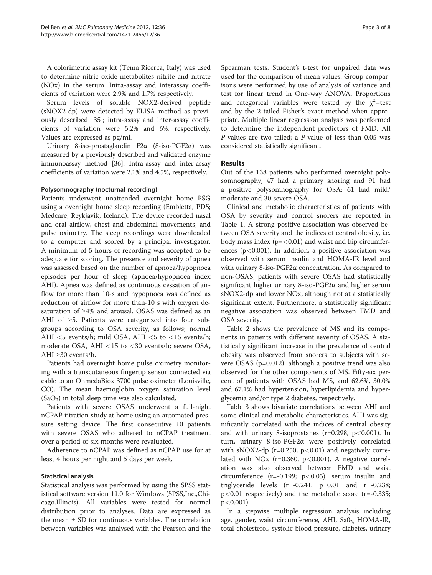A colorimetric assay kit (Tema Ricerca, Italy) was used to determine nitric oxide metabolites nitrite and nitrate (NOx) in the serum. Intra-assay and interassay coefficients of variation were 2.9% and 1.7% respectively.

Serum levels of soluble NOX2-derived peptide (sNOX2-dp) were detected by ELISA method as previously described [\[35\]](#page-6-0); intra-assay and inter-assay coefficients of variation were 5.2% and 6%, respectively. Values are expressed as pg/ml.

Urinary 8-iso-prostaglandin F2α (8-iso-PGF2α) was measured by a previously described and validated enzyme immunoassay method [\[36\]](#page-6-0). Intra-assay and inter-assay coefficients of variation were 2.1% and 4.5%, respectively.

# Polysomnography (nocturnal recording)

Patients underwent unattended overnight home PSG using a overnight home sleep recording (Embletta, PDS; Medcare, Reykjavik, Iceland). The device recorded nasal and oral airflow, chest and abdominal movements, and pulse oximetry. The sleep recordings were downloaded to a computer and scored by a principal investigator. A minimum of 5 hours of recording was accepted to be adequate for scoring. The presence and severity of apnea was assessed based on the number of apnoea/hypopnoea episodes per hour of sleep (apnoea/hypopnoea index AHI). Apnea was defined as continuous cessation of airflow for more than 10-s and hypopnoea was defined as reduction of airflow for more than-10 s with oxygen desaturation of ≥4% and arousal. OSAS was defined as an AHI of ≥5. Patients were categorized into four subgroups according to OSA severity, as follows; normal AHI <5 events/h; mild OSA, AHI <5 to <15 events/h; moderate OSA, AHI <15 to <30 events/h; severe OSA, AHI ≥30 events/h.

Patients had overnight home pulse oximetry monitoring with a transcutaneous fingertip sensor connected via cable to an OhmedaBiox 3700 pulse oximeter (Louisville, CO). The mean haemoglobin oxygen saturation level  $(SaO<sub>2</sub>)$  in total sleep time was also calculated.

Patients with severe OSAS underwent a full-night nCPAP titration study at home using an automated pressure setting device. The first consecutive 10 patients with severe OSAS who adhered to nCPAP treatment over a period of six months were revaluated.

Adherence to nCPAP was defined as nCPAP use for at least 4 hours per night and 5 days per week.

#### Statistical analysis

Statistical analysis was performed by using the SPSS statistical software version 11.0 for Windows (SPSS,Inc.,Chicago.Illinois). All variables were tested for normal distribution prior to analyses. Data are expressed as the mean ± SD for continuous variables. The correlation between variables was analysed with the Pearson and the

Spearman tests. Student's t-test for unpaired data was used for the comparison of mean values. Group comparisons were performed by use of analysis of variance and test for linear trend in One-way ANOVA. Proportions and categorical variables were tested by the  $\chi^2$ -test and by the 2-tailed Fisher's exact method when appropriate. Multiple linear regression analysis was performed to determine the independent predictors of FMD. All P-values are two-tailed; a P-value of less than 0.05 was considered statistically significant.

# Results

Out of the 138 patients who performed overnight polysomnography, 47 had a primary snoring and 91 had a positive polysomnography for OSA: 61 had mild/ moderate and 30 severe OSA.

Clinical and metabolic characteristics of patients with OSA by severity and control snorers are reported in Table [1.](#page-3-0) A strong positive association was observed between OSA severity and the indices of central obesity, i.e. body mass index  $(p=<0.01)$  and waist and hip circumferences ( $p < 0.001$ ). In addition, a positive association was observed with serum insulin and HOMA-IR level and with urinary 8-iso-PGF2α concentration. As compared to non-OSAS, patients with severe OSAS had statistically significant higher urinary 8-iso-PGF2α and higher serum sNOX2-dp and lower NOx, although not at a statistically significant extent. Furthermore, a statistically significant negative association was observed between FMD and OSA severity.

Table [2](#page-3-0) shows the prevalence of MS and its components in patients with different severity of OSAS. A statistically significant increase in the prevalence of central obesity was observed from snorers to subjects with severe OSAS (p=0.012), although a positive trend was also observed for the other components of MS. Fifty-six percent of patients with OSAS had MS, and 62.6%, 30.0% and 67.1% had hypertension, hyperlipidemia and hyperglycemia and/or type 2 diabetes, respectively.

Table [3](#page-4-0) shows bivariate correlations between AHI and some clinical and metabolic characteristics. AHI was significantly correlated with the indices of central obesity and with urinary 8-isoprostanes ( $r=0.298$ ,  $p<0.001$ ). In turn, urinary 8-iso-PGF2α were positively correlated with sNOX2-dp ( $r=0.250$ ,  $p<0.01$ ) and negatively correlated with NOx ( $r=0.360$ ,  $p<0.001$ ). A negative correlation was also observed between FMD and waist circumference ( $r=-0.199$ ;  $p<0.05$ ), serum insulin and triglyceride levels (r=-0.241; p=0.01 and r=-0.238; p<0.01 respectively) and the metabolic score (r=-0.335;  $p < 0.001$ ).

In a stepwise multiple regression analysis including age, gender, waist circumference, AHI, Sa0<sub>2,</sub> HOMA-IR, total cholesterol, systolic blood pressure, diabetes, urinary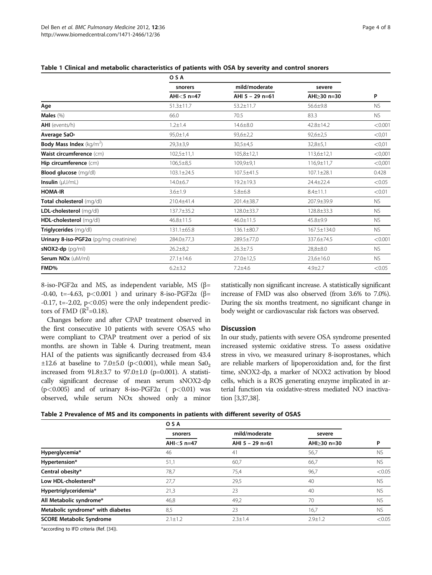|                                        | O S A            |                   |                  |           |
|----------------------------------------|------------------|-------------------|------------------|-----------|
|                                        | snorers          | mild/moderate     | severe           |           |
|                                        | AHI $<$ 5 n=47   | AHI $5 - 29$ n=61 | AHI>30 n=30      | P         |
| Age                                    | $51.3 \pm 11.7$  | 53.2±11.7         | $56.6 + 9.8$     | NS.       |
| Males (%)                              | 66.0             | 70.5              | 83.3             | <b>NS</b> |
| <b>AHI</b> (events/h)                  | $1.2 \pm 1.4$    | $14.6 \pm 8.0$    | $42.8 \pm 14.2$  | < 0.001   |
| Average SaO <sub>2</sub>               | 95,0±1,4         | $93,6 \pm 2,2$    | $92,6 \pm 2,5$   | < 0.01    |
| <b>Body Mass Index</b> ( $kg/m2$ )     | $29,3 \pm 3,9$   | $30,5 \pm 4,5$    | $32,8 \pm 5,1$   | < 0.01    |
| Waist circumference (cm)               | $102,5 \pm 11,1$ | 105,8±12,1        | 113,6±12,1       | < 0,001   |
| Hip circumference (cm)                 | $106,5 \pm 8,5$  | 109,9±9,1         | 116,9±11,7       | $<$ 0,001 |
| Blood glucose (mg/dl)                  | $103.1 \pm 24.5$ | $107.5 + 41.5$    | $107.1 \pm 28.1$ | 0.428     |
| <b>Insulin</b> ( $\mu$ U/mL)           | $14.0 \pm 6.7$   | $19.2 \pm 19.3$   | $24.4 \pm 22.4$  | < 0.05    |
| <b>HOMA-IR</b>                         | $3.6 \pm 1.9$    | $5.8 + 6.8$       | $8.4 \pm 11.1$   | < 0.01    |
| Total cholesterol (mg/dl)              | 210.4±41.4       | 201.4±38.7        | 207.9±39.9       | <b>NS</b> |
| LDL-cholesterol (mg/dl)                | 137.7±35.2       | 128.0±33.7        | 128.8±33.3       | <b>NS</b> |
| HDL-cholesterol (mg/dl)                | $46.8 \pm 11.5$  | $46.0 \pm 11.5$   | $45.8 + 9.9$     | <b>NS</b> |
| Triglycerides (mg/dl)                  | 131.1±65.8       | 136.1±80.7        | 167.5±134.0      | <b>NS</b> |
| Urinary 8-iso-PGF2a (pg/mg creatinine) | 284.0±77,3       | 289.5±77,0        | 337.6±74.5       | < 0.001   |
| $sNOX2-dp$ (pg/ml)                     | $26.2 \pm 8.2$   | $26.3 \pm 7.5$    | 28,8±8.0         | <b>NS</b> |
| Serum NOx (uM/ml)                      | $27.1 \pm 14.6$  | 27.0±12,5         | $23,6 \pm 16.0$  | <b>NS</b> |
| FMD%                                   | $6.2 \pm 3.2$    | $7.2 + 4.6$       | $4.9 + 2.7$      | < 0.05    |

#### <span id="page-3-0"></span>Table 1 Clinical and metabolic characteristics of patients with OSA by severity and control snorers

8-iso-PGF2α and MS, as independent variable, MS ( $\beta$ = -0.40, t=-4.63, p<0.001) and urinary 8-iso-PGF2α (β=  $-0.17$ , t= $-2.02$ , p $< 0.05$ ) were the only independent predictors of FMD  $(R^2=0.18)$ .

Changes before and after CPAP treatment observed in the first consecutive 10 patients with severe OSAS who were compliant to CPAP treatment over a period of six months. are shown in Table [4](#page-4-0). During treatment, mean HAI of the patients was significantly decreased from 43.4  $\pm 12.6$  at baseline to 7.0 $\pm 5.0$  (p<0.001), while mean Sa0<sub>2</sub> increased from 91.8±3.7 to 97.0±1.0 (p=0.001). A statistically significant decrease of mean serum sNOX2-dp ( $p$ <0.005) and of urinary 8-iso-PGF2 $\alpha$  ( $p$ <0.01) was observed, while serum NOx showed only a minor statistically non significant increase. A statistically significant increase of FMD was also observed (from 3.6% to 7.0%). During the six months treatment, no significant change in body weight or cardiovascular risk factors was observed.

#### **Discussion**

In our study, patients with severe OSA syndrome presented increased systemic oxidative stress. To assess oxidative stress in vivo, we measured urinary 8-isoprostanes, which are reliable markers of lipoperoxidation and, for the first time, sNOX2-dp, a marker of NOX2 activation by blood cells, which is a ROS generating enzyme implicated in arterial function via oxidative-stress mediated NO inactivation [\[3,37,38](#page-6-0)].

| Table 2 Prevalence of MS and its components in patients with different severity of OSAS |  |  |  |  |
|-----------------------------------------------------------------------------------------|--|--|--|--|
|-----------------------------------------------------------------------------------------|--|--|--|--|

|                                   | O S A          |                   |               |           |
|-----------------------------------|----------------|-------------------|---------------|-----------|
|                                   | snorers        | mild/moderate     | severe        |           |
|                                   | AHI $<$ 5 n=47 | AHI $5 - 29$ n=61 | AHI≥30 n=30   | Ρ         |
| Hyperglycemia*                    | 46             | 41                | 56,7          | <b>NS</b> |
| Hypertension*                     | 51,1           | 60,7              | 66,7          | <b>NS</b> |
| Central obesity*                  | 78,7           | 75,4              | 96,7          | < 0.05    |
| Low HDL-cholesterol*              | 27,7           | 29,5              | 40            | <b>NS</b> |
| Hypertriglyceridemia*             | 21,3           | 23                | 40            | <b>NS</b> |
| All Metabolic syndrome*           | 46,8           | 49,2              | 70            | <b>NS</b> |
| Metabolic syndrome* with diabetes | 8,5            | 23                | 16,7          | <b>NS</b> |
| <b>SCORE Metabolic Syndrome</b>   | $2.1 \pm 1.2$  | $2.3 \pm 1.4$     | $2.9 \pm 1.2$ | < 0.05    |

\*according to IFD criteria (Ref. [\[34](#page-6-0)]).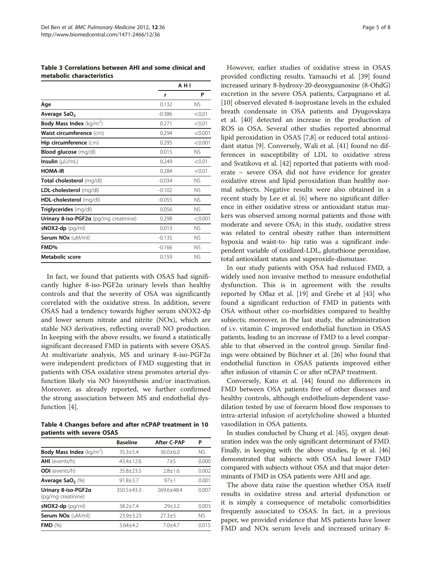<span id="page-4-0"></span>Table 3 Correlations between AHI and some clinical and metabolic characteristics

|                                               |          | AHI     |
|-----------------------------------------------|----------|---------|
|                                               | r        | P       |
| Age                                           | 0.132    | NS.     |
| Average SaO <sub>2</sub>                      | $-0.386$ | < 0.01  |
| Body Mass Index (kg/m <sup>2</sup> )          | 0.271    | < 0.01  |
| <b>Waist circumference</b> (cm)               | 0.294    | < 0.001 |
| <b>Hip circumference</b> (cm)                 | 0.295    | < 0.001 |
| <b>Blood glucose</b> (mg/dl)                  | 0.015    | NS.     |
| <b>Insulin</b> ( $\mu$ U/mL)                  | 0.249    | < 0.01  |
| <b>HOMA-IR</b>                                | 0.284    | < 0.01  |
| Total cholesterol (mg/dl)                     | $-0.034$ | NS.     |
| LDL-cholesterol (mg/dl)                       | $-0.102$ | NS.     |
| HDL-cholesterol (mg/dl)                       | $-0.055$ | NS.     |
| Triglycerides (mg/dl)                         | 0.056    | NS.     |
| <b>Urinary 8-iso-PGF2a</b> (pg/mg creatinine) | 0.298    | < 0.001 |
| $sNOX2-dp$ (pg/ml)                            | 0.013    | NS.     |
| Serum NOx (uM/ml)                             | $-0.135$ | NS.     |
| FMD%                                          | $-0.166$ | NS.     |
| Metabolic score                               | 0.159    | NS.     |

In fact, we found that patients with OSAS had significantly higher 8-iso-PGF2α urinary levels than healthy controls and that the severity of OSA was significantly correlated with the oxidative stress. In addition, severe OSAS had a tendency towards higher serum sNOX2-dp and lower serum nitrate and nitrite (NOx), which are stable NO derivatives, reflecting overall NO production. In keeping with the above results, we found a statistically significant decreased FMD in patients with severe OSAS. At multivariate analysis, MS and urinary 8-iso-PGF2α were independent predictors of FMD suggesting that in patients with OSA oxidative stress promotes arterial dysfunction likely via NO biosynthesis and/or inactivation. Moreover, as already reported, we further confirmed the strong association between MS and endothelial dysfunction [[4\]](#page-6-0).

Table 4 Changes before and after nCPAP treatment in 10 patients with severe OSAS

|                                           | <b>Baseline</b> | After C-PAP     | P         |
|-------------------------------------------|-----------------|-----------------|-----------|
| <b>Body Mass Index</b> ( $kq/m^2$ )       | $35.3 + 5.4$    | $36.0 + 6.0$    | NS.       |
| <b>AHI</b> (events/h)                     | $43.4 + 12.6$   | 7 <sub>±5</sub> | 0.000     |
| <b>ODI</b> (events/h)                     | $35.8 + 23.5$   | $2.8 + 1.6$     | 0.002     |
| Average SaO <sub>2</sub> $(\%)$           | $91.8 \pm 3.7$  | $97 + 1$        | 0.001     |
| Urinary 8-iso-PGF2a<br>(pg/mg creatinine) | $350.5 + 43.3$  | 269.6±48.4      | 0.007     |
| $sNOX2-dp$ (pg/ml)                        | $38.2 + 7.4$    | $79 + 3.2$      | 0.003     |
| Serum NOx (uM/ml)                         | $23.9 + 3.23$   | $27.3 + 5$      | <b>NS</b> |
| $FMD$ $(\%)$                              | $3.64 + 4.2$    | $7.0 + 4.7$     | 0015      |

However, earlier studies of oxidative stress in OSAS provided conflicting results. Yamauchi et al. [\[39](#page-6-0)] found increased urinary 8-hydroxy-20-deoxyguanosine (8-OhdG) excretion in the severe OSA patients, Carpagnano et al. [[10\]](#page-6-0) observed elevated 8-isoprostane levels in the exhaled breath condensate in OSA patients and Dyugovskaya et al. [[40](#page-6-0)] detected an increase in the production of ROS in OSA. Several other studies reported abnormal lipid peroxidation in OSAS [\[7,8](#page-6-0)] or reduced total antioxidant status [[9\]](#page-6-0). Conversely, Wali et al. [[41](#page-6-0)] found no differences in susceptibility of LDL to oxidative stress and Svatikova et al. [\[42\]](#page-6-0) reported that patients with moderate – severe OSA did not have evidence for greater oxidative stress and lipid peroxidation than healthy normal subjects. Negative results were also obtained in a recent study by Lee et al. [[6\]](#page-6-0) where no significant difference in either oxidative stress or antioxidant status markers was observed among normal patients and those with moderate and severe OSA; in this study, oxidative stress was related to central obesity rather than intermittent hypoxia and waist-to- hip ratio was a significant independent variable of oxidized-LDL, glutathione peroxidase, total antioxidant status and superoxide-dismutase.

In our study patients with OSA had reduced FMD, a widely used non invasive method to measure endothelial dysfunction. This is in agreement with the results reported by Oflaz et al. [\[19\]](#page-6-0) and Grebe et al [\[43\]](#page-6-0) who found a significant reduction of FMD in patients with OSA without other co-morbidities compared to healthy subjects; moreover, in the last study, the administration of i.v. vitamin C improved endothelial function in OSAS patients, leading to an increase of FMD to a level comparable to that observed in the control group. Similar findings were obtained by Büchner et al. [[26](#page-6-0)] who found that endothelial function in OSAS patients improved either after infusion of vitamin C or after nCPAP treatment.

Conversely, Kato et al. [[44\]](#page-6-0) found no differences in FMD between OSA patients free of other diseases and healthy controls, although endothelium-dependent vasodilation tested by use of forearm blood flow responses to intra-arterial infusion of acetylcholine showed a blunted vasodilation in OSA patients.

In studies conducted by Chung et al. [\[45\]](#page-7-0), oxygen desaturation index was the only significant determinant of FMD. Finally, in keeping with the above studies, Ip et al. [\[46](#page-7-0)] demonstrated that subjects with OSA had lower FMD compared with subjects without OSA and that major determinants of FMD in OSA patients were AHI and age.

The above data raise the question whether OSA itself results in oxidative stress and arterial dysfunction or it is simply a consequence of metabolic comorbidities frequently associated to OSAS. In fact, in a previous paper, we provided evidence that MS patients have lower FMD and NOx serum levels and increased urinary 8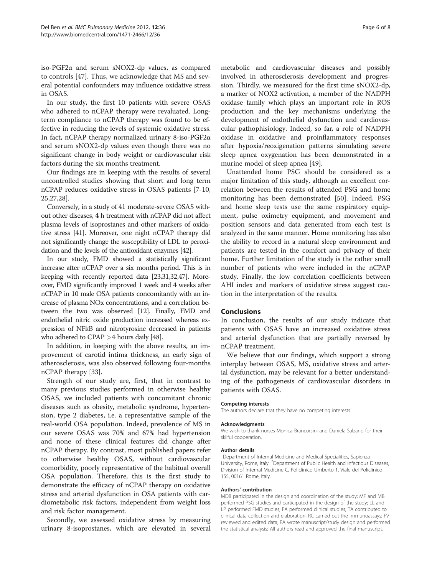iso-PGF2α and serum sNOX2-dp values, as compared to controls [\[47\]](#page-7-0). Thus, we acknowledge that MS and several potential confounders may influence oxidative stress in OSAS.

In our study, the first 10 patients with severe OSAS who adhered to nCPAP therapy were revaluated. Longterm compliance to nCPAP therapy was found to be effective in reducing the levels of systemic oxidative stress. In fact, nCPAP therapy normalized urinary 8-iso-PGF2α and serum sNOX2-dp values even though there was no significant change in body weight or cardiovascular risk factors during the six months treatment.

Our findings are in keeping with the results of several uncontrolled studies showing that short and long term nCPAP reduces oxidative stress in OSAS patients [\[7-10](#page-6-0), [25,27](#page-6-0),[28](#page-6-0)].

Conversely, in a study of 41 moderate-severe OSAS without other diseases, 4 h treatment with nCPAP did not affect plasma levels of isoprostanes and other markers of oxidative stress [\[41\]](#page-6-0). Moreover, one night nCPAP therapy did not significantly change the susceptibility of LDL to peroxidation and the levels of the antioxidant enzymes [\[42](#page-6-0)].

In our study, FMD showed a statistically significant increase after nCPAP over a six months period. This is in keeping with recently reported data [\[23,31,32](#page-6-0)[,47\]](#page-7-0). Moreover, FMD significantly improved 1 week and 4 weeks after nCPAP in 10 male OSA patients concomitantly with an increase of plasma NOx concentrations, and a correlation between the two was observed [\[12](#page-6-0)]. Finally, FMD and endothelial nitric oxide production increased whereas expression of NFkB and nitrotyrosine decreased in patients who adhered to CPAP >4 hours daily [[48\]](#page-7-0).

In addition, in keeping with the above results, an improvement of carotid intima thickness, an early sign of atherosclerosis, was also observed following four-months nCPAP therapy [[33\]](#page-6-0).

Strength of our study are, first, that in contrast to many previous studies performed in otherwise healthy OSAS, we included patients with concomitant chronic diseases such as obesity, metabolic syndrome, hypertension, type 2 diabetes, i.e. a representative sample of the real-world OSA population. Indeed, prevalence of MS in our severe OSAS was 70% and 67% had hypertension and none of these clinical features did change after nCPAP therapy. By contrast, most published papers refer to otherwise healthy OSAS, without cardiovascular comorbidity, poorly representative of the habitual overall OSA population. Therefore, this is the first study to demonstrate the efficacy of nCPAP therapy on oxidative stress and arterial dysfunction in OSA patients with cardiometabolic risk factors, independent from weight loss and risk factor management.

Secondly, we assessed oxidative stress by measuring urinary 8-isoprostanes, which are elevated in several metabolic and cardiovascular diseases and possibly involved in atherosclerosis development and progression. Thirdly, we measured for the first time sNOX2-dp, a marker of NOX2 activation, a member of the NADPH oxidase family which plays an important role in ROS production and the key mechanisms underlying the development of endothelial dysfunction and cardiovascular pathophisiology. Indeed, so far, a role of NADPH oxidase in oxidative and proinflammatory responses after hypoxia/reoxigenation patterns simulating severe sleep apnea oxygenation has been demonstrated in a murine model of sleep apnea [[49\]](#page-7-0).

Unattended home PSG should be considered as a major limitation of this study, although an excellent correlation between the results of attended PSG and home monitoring has been demonstrated [[50\]](#page-7-0). Indeed, PSG and home sleep tests use the same respiratory equipment, pulse oximetry equipment, and movement and position sensors and data generated from each test is analyzed in the same manner. Home monitoring has also the ability to record in a natural sleep environment and patients are tested in the comfort and privacy of their home. Further limitation of the study is the rather small number of patients who were included in the nCPAP study. Finally, the low correlation coefficients between AHI index and markers of oxidative stress suggest caution in the interpretation of the results.

# Conclusions

In conclusion, the results of our study indicate that patients with OSAS have an increased oxidative stress and arterial dysfunction that are partially reversed by nCPAP treatment.

We believe that our findings, which support a strong interplay between OSAS, MS, oxidative stress and arterial dysfunction, may be relevant for a better understanding of the pathogenesis of cardiovascular disorders in patients with OSAS.

#### Competing interests

The authors declare that they have no competing interests.

#### Acknowledgments

We wish to thank nurses Monica Brancorsini and Daniela Salzano for their skilful cooperation.

#### Author details

<sup>1</sup>Department of Internal Medicine and Medical Specialities, Sapienza University, Rome, Italy. <sup>2</sup> Department of Public Health and Infectious Diseases Division of Internal Medicine C, Policlinico Umberto 1, Viale del Policlinico 155, 00161 Rome, Italy.

#### Authors' contribution

MDB participated in the design and coordination of the study; MF and MB performed PSG studies and participated in the design of the study; LL and LP performed FMD studies; FA performed clinical studies; TA contributed to clinical data collection and elaboration: RC carried out the immunoassays; FV reviewed and edited data; FA wrote manuscript/study design and performed the statistical analysis; All authors read and approved the final manuscript.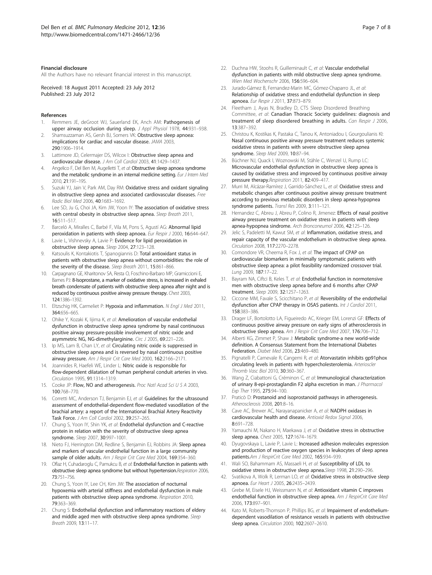#### <span id="page-6-0"></span>Financial disclosure

All the Authors have no relevant financial interest in this manuscript.

Received: 18 August 2011 Accepted: 23 July 2012 Published: 23 July 2012

#### References

- Remmers JE, deGroot WJ, Sauerland EK, Anch AM: Pathogenesis of upper airway occlusion during sleep. J Appl Physiol 1978, 44:931-938.
- 2. Shamsuzzaman AS, Gersh BJ, Somers VK: Obstructive sleep apnoea: implications for cardiac and vascular disease. JAMA 2003, 290:1906–1914.
- 3. Lattimore JD, Celermajer DS, Wilcox I: Obstructive sleep apnea and cardiovascular disease. J Am Coll Cardiol 2003, 41:1429–1437.
- 4. Angelico F, Del Ben M, Augelletti T, et al: Obstructive sleep apnoea syndrome and the metabolic syndrome in an internal medicine setting. Eur J Intern Med 2010, 21:191–195.
- Suzuki YJ, Jain V, Park AM, Day RM: Oxidative stress and oxidant signaling in obstructive sleep apnea and associated cardiovascular diseases. Free Radic Biol Med 2006, 40:1683–1692.
- 6. Lee SD, Ju G, Choi JA, Kim JW, Yoon IY: The association of oxidative stress with central obesity in obstructive sleep apnea. Sleep Breath 2011, 16:511–517.
- 7. Barceló A, Miralles C, Barbé F, Vila M, Pons S, Agustí AG: Abnormal lipid peroxidation in patients with sleep apnoea. Eur Respir J 2000, 16:644-647.
- 8. Lavie L, Vishnevsky A, Lavie P: Evidence for lipid peroxidation in obstructive sleep apnea. Sleep 2004, 27:123–128.
- 9. Katsoulis K, Kontakiotis T, Spanogiannis D: Total antioxidant status in patients with obstructive sleep apnea without comorbidities: the role of the severity of the disease. Sleep Breath 2011, 15:861–866.
- 10. Carpagnano GE, Kharitonov SA, Resta O, Foschino-Barbaro MP, Gramiccioni E, Barnes PJ: 8-Isoprostane, a marker of oxidative stress, is increased in exhaled breath condensate of patients with obstructive sleep apnea after night and is reduced by continuous positive airway pressure therapy. Chest 2003, 124:1386–1392.
- 11. Eltzschig HK, Carmeliet P: Hypoxia and inflammation. N Engl J Med 2011, 364:656–665.
- 12. Ohike Y, Kozaki K, Iijima K, et al: Amelioration of vascular endothelial dysfunction in obstructive sleep apnea syndrome by nasal continuous positive airway pressure-possible involvement of nitric oxide and asymmetric NG, NG-dimethylarginine. Circ J 2005, 69:221–226.
- 13. Ip MS, Lam B, Chan LY, et al: Circulating nitric oxide is suppressed in obstructive sleep apnea and is reversed by nasal continuous positive airway pressure. Am J Respir Crit Care Med 2000, 162:2166–2171.
- 14. Joannides R, Haefeli WE, Linder L: Nitric oxide is responsible for flow-dependent dilatation of human peripheral conduit arteries in vivo. Circulation 1995, 91:1314–1319.
- 15. Cooke JP: Flow, NO and atherogenesis. Proc Natl Acad Sci U S A 2003, 100:768–770.
- 16. Corretti MC, Anderson TJ, Benjamin EJ, et al: Guidelines for the ultrasound assessment of endothelial-dependent flow-mediated vasodilation of the brachial artery: a report of the International Brachial Artery Reactivity Task Force. J Am Coll Cardiol 2002, 39:257–265.
- 17. Chung S, Yoon IY, Shin YK, et al: Endothelial dysfunction and C-reactive protein in relation with the severity of obstructive sleep apnea syndrome. Sleep 2007, 30:997-1001.
- 18. Nieto FJ, Herrington DM, Redline S, Benjamin EJ, Robbins JA: Sleep apnea and markers of vascular endothelial function in a large community sample of older adults. Am J Respir Crit Care Med 2004, 169:354-360.
- 19. Oflaz H, Cuhadaroglu C, Pamukcu B, et al: Endothelial function in patients with obstructive sleep apnea syndrome but without hypertension.Respiration 2006, 73:751–756.
- 20. Chung S, Yoon IY, Lee CH, Kim JW: The association of nocturnal hypoxemia with arterial stiffness and endothelial dysfunction in male patients with obstructive sleep apnea syndrome. Respiration 2010, 79:363–369.
- 21. Chung S: Endothelial dysfunction and inflammatory reactions of eldery and middle aged men with obstructive sleep apnea syndrome. Sleep Breath 2009, 13:11–17.
- 22. Duchna HW, Stoohs R, Guilleminault C, et al: Vascular endothelial dysfunction in patients with mild obstructive sleep apnea syndrome. Wien Med Wochenschr 2006, 156:596–604.
- 23. Jurado-Gámez B, Fernandez-Marin MC, Gómez-Chaparro JL, et al: Relationship of oxidative stress and endothelial dysfunction in sleep apnoea. Eur Respir J 2011, 37:873–879.
- 24. Fleetham J, Ayas N, Bradley D, CTS Sleep Disordered Breathing Committee, et al: Canadian Thoracic Society guidelines: diagnosis and treatment of sleep disordered breathing in adults. Can Respir J 2006, 13:387–392.
- 25. Christou K, Kostikas K, Pastaka C, Tanou K, Antoniadou I, Gourgoulianis KI: Nasal continuous positive airway pressure treatment reduces systemic oxidative stress in patients with severe obstructive sleep apnea syndrome. Sleep Med 2009, 10:87–94.
- 26. Büchner NJ, Quack I, Woznowski M, Stähle C, Wenzel U, Rump LC: Microvascular endothelial dysfunction in obstructive sleep apnea is caused by oxidative stress and improved by continuous positive airway pressure therapy.Respiration 2011, 82:409–417.
- 27. Murri M, Alcázar-Ramírez J, Garrido-Sánchez L, et al: Oxidative stress and metabolic changes after continuous positive airway pressure treatment according to previous metabolic disorders in sleep apnea-hypopnea syndrome patients. Transl Res 2009, 3:111-121.
- 28. Hernandez C, Abreu J, Abreu P, Colino R, Jimenez: Effects of nasal positive airway pressure treatment on oxidative stress in patients with sleep apnea-hypopnea sindrome. Arch Bronconeumol 2006, 42:125–126.
- 29. Jelic S, Padeletti M, Kawut SM, et al: Inflammation, oxidative stress, and repair capacity of the vascular endothelium in obstructive sleep apnea. Circulation 2008, 117:2270–2278.
- 30. Comondore VR, Cheema R, Fox J, et al: The impact of CPAP on cardiovascular biomarkers in minimally symptomatic patients with obstructive sleep apnea: a pilot feasibility randomized crossover trial. Lung 2009, 187:17–22.
- 31. Bayram NA, Ciftci B, Keles T, et al: Endothelial function in normotensive men with obstructive sleep apnea before and 6 months after CPAP treatment. Sleep 2009, 32:1257–1263.
- 32. Ciccone MM, Favale S, Scicchitano P, et al: Reversibility of the endothelial dysfunction after CPAP therapy in OSAS patients. Int J Cardiol 2011, 158:383–386.
- 33. Drager LF, Bortolotto LA, Figueiredo AC, Krieger EM, Lorenzi GF: Effects of continuous positive airway pressure on early signs of atherosclerosis in obstructive sleep apnea. Am J Respir Crit Care Med 2007, 176:706–712.
- 34. Alberti KG, Zimmet P, Shaw J: Metabolic syndrome-a new world-wide definition. A Consensus Statement from the International Diabetes Federation. Diabet Med 2006, 23:469–480.
- 35. Pignatelli P, Carnevale R, Cangemi R, et al: Atorvastatin inhibits gp91phox circulating levels in patients with hypercholesterolemia. Arterioscler Thromb Vasc Biol 2010, 30:360–367.
- 36. Wang Z, Ciabattoni G, Créminon C, et al: Immunological characterization of urinary 8-epi-prostaglandin F2 alpha excretion in man. J Pharmacol Exp Ther 1995, 275:94–100.
- 37. Praticò D: Prostanoid and isoprostanoid pathways in atherogenesis. Atherosclerosis 2008, 201:8–16.
- 38. Cave AC, Brewer AC, Narayanapanicker A, et al: NADPH oxidases in cardiovascular health and disease. Antioxid Redox Signal 2006, 8:691–728.
- 39. Yamauchi M, Nakano H, Maekawa J, et al: Oxidative stress in obstructive sleep apnea. Chest 2005, 127:1674–1679.
- 40. Dyugovskaya L, Lavie P, Lavie L: Increased adhesion molecules expression and production of reactive oxygen species in leukocytes of sleep apnea patients.Am J RespirCrit Care Med 2002, 165:934-939.
- Wali SO, Bahammam AS, Massaeli H, et al: Susceptibility of LDL to oxidative stress in obstructive sleep apnea.Sleep 1998, 21:290–296.
- 42. Svatikova A, Wolk R, Lerman LO, et al: Oxidative stress in obstructive sleep apnoea. Eur Heart J 2005, 26:2435–2439.
- 43. Grebe M, Eisele HJ, Weissmann N, et al: Antioxidant vitamin C improves endothelial function in obstructive sleep apnea. Am J RespirCrit Care Med 2006, 173:897–901.
- 44. Kato M, Roberts-Thomson P, Phillips BG, et al: Impairment of endotheliumdependent vasodilation of resistance vessels in patients with obstructive sleep apnea. Circulation 2000, 102:2607–2610.